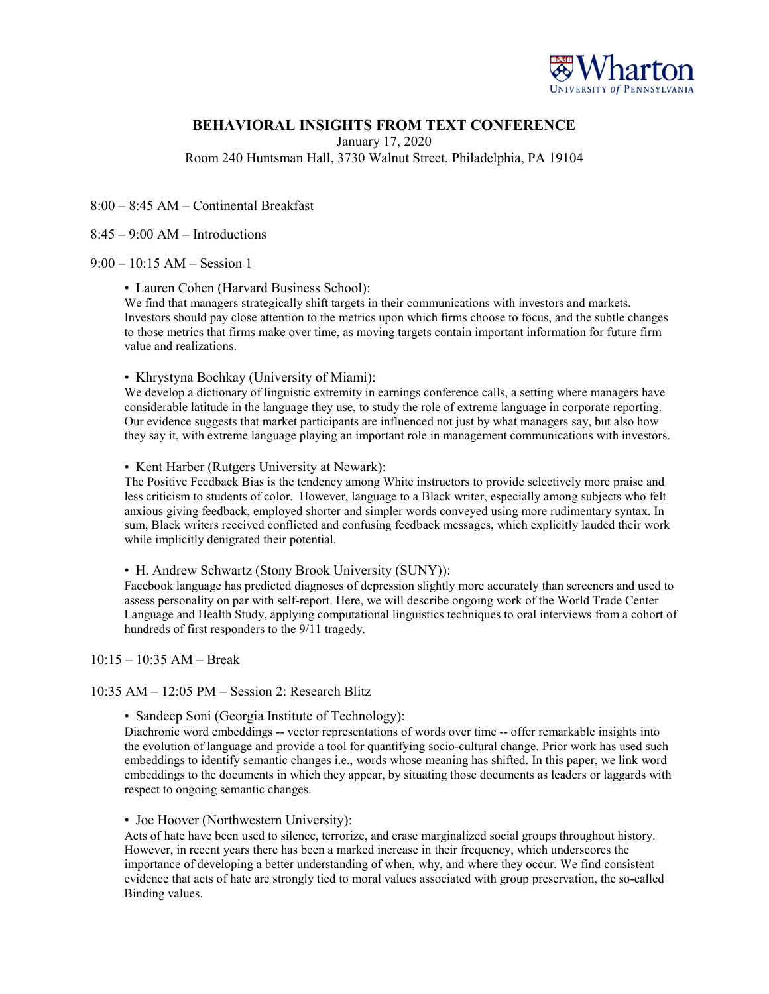

# **BEHAVIORAL INSIGHTS FROM TEXT CONFERENCE**

January 17, 2020

Room 240 Huntsman Hall, 3730 Walnut Street, Philadelphia, PA 19104

8:00 – 8:45 AM – Continental Breakfast

 $8:45 - 9:00$  AM – Introductions

### 9:00 – 10:15 AM – Session 1

• Lauren Cohen (Harvard Business School):

We find that managers strategically shift targets in their communications with investors and markets. Investors should pay close attention to the metrics upon which firms choose to focus, and the subtle changes to those metrics that firms make over time, as moving targets contain important information for future firm value and realizations.

#### • Khrystyna Bochkay (University of Miami):

We develop a dictionary of linguistic extremity in earnings conference calls, a setting where managers have considerable latitude in the language they use, to study the role of extreme language in corporate reporting. Our evidence suggests that market participants are influenced not just by what managers say, but also how they say it, with extreme language playing an important role in management communications with investors.

#### • Kent Harber (Rutgers University at Newark):

The Positive Feedback Bias is the tendency among White instructors to provide selectively more praise and less criticism to students of color. However, language to a Black writer, especially among subjects who felt anxious giving feedback, employed shorter and simpler words conveyed using more rudimentary syntax. In sum, Black writers received conflicted and confusing feedback messages, which explicitly lauded their work while implicitly denigrated their potential.

#### • H. Andrew Schwartz (Stony Brook University (SUNY)):

Facebook language has predicted diagnoses of depression slightly more accurately than screeners and used to assess personality on par with self-report. Here, we will describe ongoing work of the World Trade Center Language and Health Study, applying computational linguistics techniques to oral interviews from a cohort of hundreds of first responders to the 9/11 tragedy.

#### $10:15 - 10:35$  AM – Break

### 10:35 AM – 12:05 PM – Session 2: Research Blitz

• Sandeep Soni (Georgia Institute of Technology):

Diachronic word embeddings -- vector representations of words over time -- offer remarkable insights into the evolution of language and provide a tool for quantifying socio-cultural change. Prior work has used such embeddings to identify semantic changes i.e., words whose meaning has shifted. In this paper, we link word embeddings to the documents in which they appear, by situating those documents as leaders or laggards with respect to ongoing semantic changes.

### • Joe Hoover (Northwestern University):

Acts of hate have been used to silence, terrorize, and erase marginalized social groups throughout history. However, in recent years there has been a marked increase in their frequency, which underscores the importance of developing a better understanding of when, why, and where they occur. We find consistent evidence that acts of hate are strongly tied to moral values associated with group preservation, the so-called Binding values.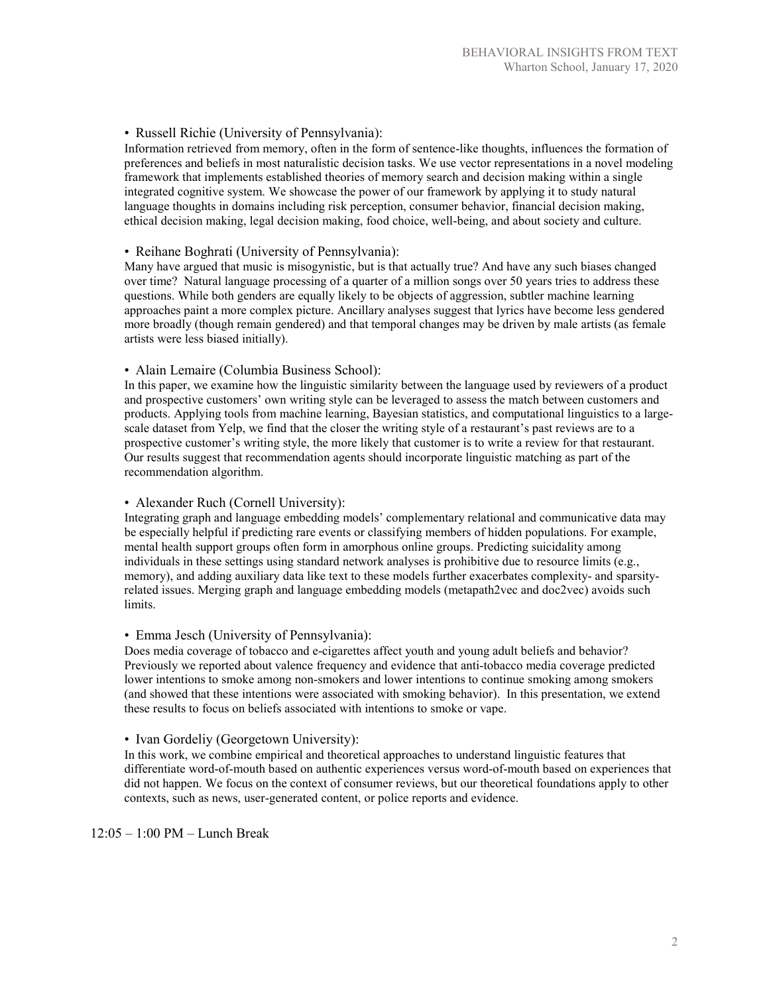## • Russell Richie (University of Pennsylvania):

Information retrieved from memory, often in the form of sentence-like thoughts, influences the formation of preferences and beliefs in most naturalistic decision tasks. We use vector representations in a novel modeling framework that implements established theories of memory search and decision making within a single integrated cognitive system. We showcase the power of our framework by applying it to study natural language thoughts in domains including risk perception, consumer behavior, financial decision making, ethical decision making, legal decision making, food choice, well-being, and about society and culture.

## • Reihane Boghrati (University of Pennsylvania):

Many have argued that music is misogynistic, but is that actually true? And have any such biases changed over time? Natural language processing of a quarter of a million songs over 50 years tries to address these questions. While both genders are equally likely to be objects of aggression, subtler machine learning approaches paint a more complex picture. Ancillary analyses suggest that lyrics have become less gendered more broadly (though remain gendered) and that temporal changes may be driven by male artists (as female artists were less biased initially).

### • Alain Lemaire (Columbia Business School):

In this paper, we examine how the linguistic similarity between the language used by reviewers of a product and prospective customers' own writing style can be leveraged to assess the match between customers and products. Applying tools from machine learning, Bayesian statistics, and computational linguistics to a largescale dataset from Yelp, we find that the closer the writing style of a restaurant's past reviews are to a prospective customer's writing style, the more likely that customer is to write a review for that restaurant. Our results suggest that recommendation agents should incorporate linguistic matching as part of the recommendation algorithm.

## • Alexander Ruch (Cornell University):

Integrating graph and language embedding models' complementary relational and communicative data may be especially helpful if predicting rare events or classifying members of hidden populations. For example, mental health support groups often form in amorphous online groups. Predicting suicidality among individuals in these settings using standard network analyses is prohibitive due to resource limits (e.g., memory), and adding auxiliary data like text to these models further exacerbates complexity- and sparsityrelated issues. Merging graph and language embedding models (metapath2vec and doc2vec) avoids such limits.

## • Emma Jesch (University of Pennsylvania):

Does media coverage of tobacco and e-cigarettes affect youth and young adult beliefs and behavior? Previously we reported about valence frequency and evidence that anti-tobacco media coverage predicted lower intentions to smoke among non-smokers and lower intentions to continue smoking among smokers (and showed that these intentions were associated with smoking behavior). In this presentation, we extend these results to focus on beliefs associated with intentions to smoke or vape.

• Ivan Gordeliy (Georgetown University):

In this work, we combine empirical and theoretical approaches to understand linguistic features that differentiate word-of-mouth based on authentic experiences versus word-of-mouth based on experiences that did not happen. We focus on the context of consumer reviews, but our theoretical foundations apply to other contexts, such as news, user-generated content, or police reports and evidence.

12:05 – 1:00 PM – Lunch Break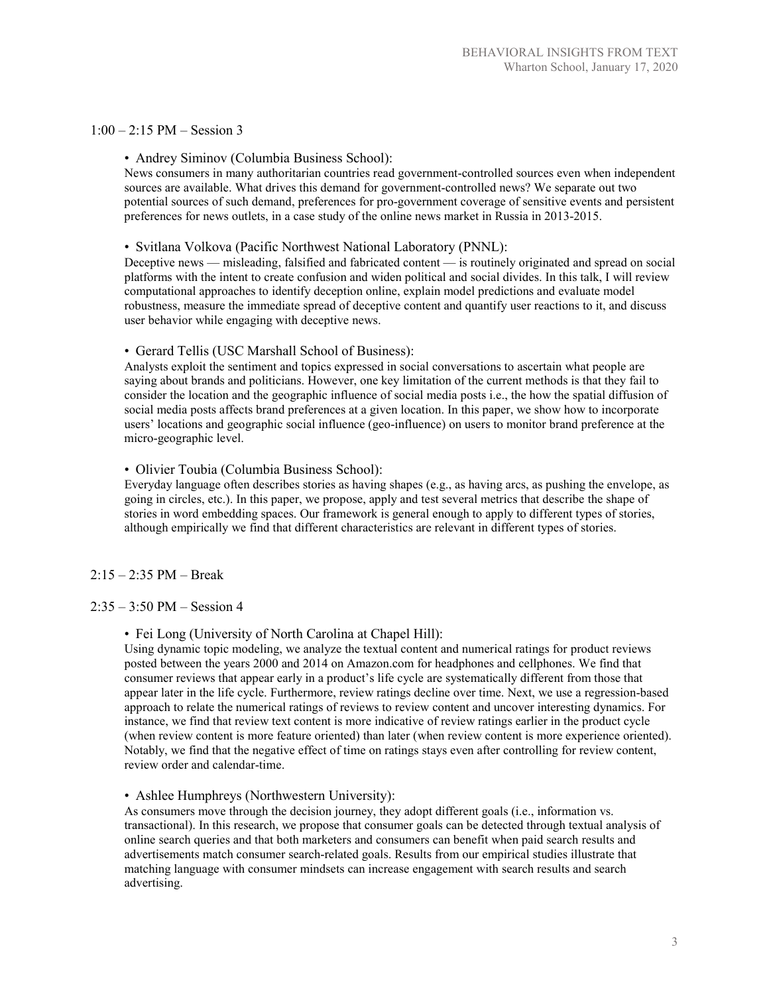### $1:00 - 2:15$  PM – Session 3

### • Andrey Siminov (Columbia Business School):

News consumers in many authoritarian countries read government-controlled sources even when independent sources are available. What drives this demand for government-controlled news? We separate out two potential sources of such demand, preferences for pro-government coverage of sensitive events and persistent preferences for news outlets, in a case study of the online news market in Russia in 2013-2015.

### • Svitlana Volkova (Pacific Northwest National Laboratory (PNNL):

Deceptive news — misleading, falsified and fabricated content — is routinely originated and spread on social platforms with the intent to create confusion and widen political and social divides. In this talk, I will review computational approaches to identify deception online, explain model predictions and evaluate model robustness, measure the immediate spread of deceptive content and quantify user reactions to it, and discuss user behavior while engaging with deceptive news.

### • Gerard Tellis (USC Marshall School of Business):

Analysts exploit the sentiment and topics expressed in social conversations to ascertain what people are saying about brands and politicians. However, one key limitation of the current methods is that they fail to consider the location and the geographic influence of social media posts i.e., the how the spatial diffusion of social media posts affects brand preferences at a given location. In this paper, we show how to incorporate users' locations and geographic social influence (geo-influence) on users to monitor brand preference at the micro-geographic level.

### • Olivier Toubia (Columbia Business School):

Everyday language often describes stories as having shapes (e.g., as having arcs, as pushing the envelope, as going in circles, etc.). In this paper, we propose, apply and test several metrics that describe the shape of stories in word embedding spaces. Our framework is general enough to apply to different types of stories, although empirically we find that different characteristics are relevant in different types of stories.

### 2:15 – 2:35 PM – Break

## $2:35 - 3:50$  PM – Session 4

### • Fei Long (University of North Carolina at Chapel Hill):

Using dynamic topic modeling, we analyze the textual content and numerical ratings for product reviews posted between the years 2000 and 2014 on Amazon.com for headphones and cellphones. We find that consumer reviews that appear early in a product's life cycle are systematically different from those that appear later in the life cycle. Furthermore, review ratings decline over time. Next, we use a regression-based approach to relate the numerical ratings of reviews to review content and uncover interesting dynamics. For instance, we find that review text content is more indicative of review ratings earlier in the product cycle (when review content is more feature oriented) than later (when review content is more experience oriented). Notably, we find that the negative effect of time on ratings stays even after controlling for review content, review order and calendar-time.

#### • Ashlee Humphreys (Northwestern University):

As consumers move through the decision journey, they adopt different goals (i.e., information vs. transactional). In this research, we propose that consumer goals can be detected through textual analysis of online search queries and that both marketers and consumers can benefit when paid search results and advertisements match consumer search-related goals. Results from our empirical studies illustrate that matching language with consumer mindsets can increase engagement with search results and search advertising.